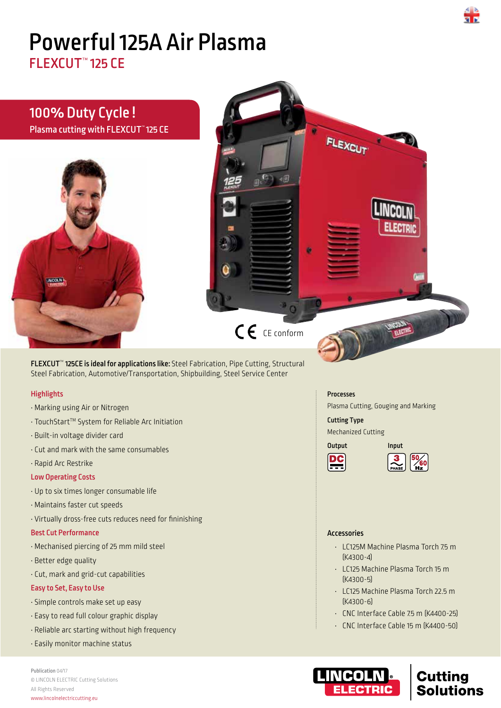# Powerful 125A Air Plasma

FLEXCUT™ 125 CE



# **Highlights**

- Marking using Air or Nitrogen
- TouchStartTM System for Reliable Arc Initiation
- Built-in voltage divider card
- Cut and mark with the same consumables
- Rapid Arc Restrike

#### Low Operating Costs

- Up to six times longer consumable life
- Maintains faster cut speeds
- Virtually dross-free cuts reduces need for fininishing

### Best Cut Performance

- Mechanised piercing of 25 mm mild steel
- Better edge quality
- Cut, mark and grid-cut capabilities

# Easy to Set, Easy to Use

- Simple controls make set up easy
- Easy to read full colour graphic display
- Reliable arc starting without high frequency
- Easily monitor machine status

Publication 04/17 © LINCOLN ELECTRIC Cutting Solutions All Rights Reserved www.lincolnelectriccutting.eu

#### Processes

Plasma Cutting, Gouging and Marking

Cutting Type Mechanized Cutting





#### Accessories

- LC125M Machine Plasma Torch 7.5 m (K4300-4)
- LC125 Machine Plasma Torch 15 m (K4300-5)
- LC125 Machine Plasma Torch 22.5 m (K4300-6)
- $\cdot$  CNC Interface Cable 75 m (K4400-25)
- CNC Interface Cable 15 m (K4400-50)